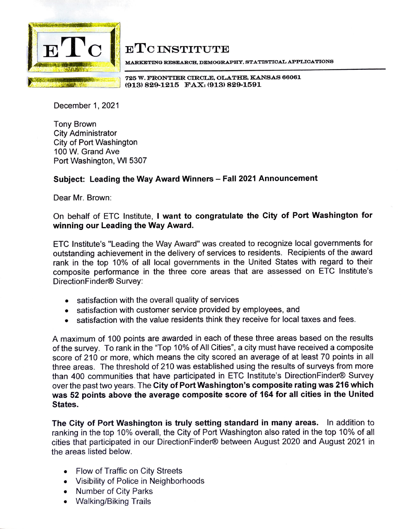

## **ETCINSTITUTE**

MARKETING RESEARCH, DEMOGRAPHY, STATISTICAL APPLICATIONS

**725 W. FRONTIER CIRCLE, OLATHE, KANSAS 66061 (913) 829-1215 FAX: (913) 829-1591** 

December 1, 2021

Tony Brown City Administrator City of Port Washington 100 W. Grand Ave Port Washington, WI 5307

## **Subject: Leading the Way Award Winners - Fall 2021 Announcement**

Dear Mr. Brown:

On behalf of ETC Institute, I **want to congratulate the City of Port Washington for winning our Leading the Way Award.** 

ETC lnstitute's "Leading the Way Award" was created to recognize local governments for outstanding achievement in the delivery of services to residents. Recipients of the award rank in the top 10% of all local governments in the United States with regard to their composite performance in the three core areas that are assessed on ETC lnstitute's DirectionFinder® Survey:

- satisfaction with the overall quality of services
- satisfaction with customer service provided by employees, and
- satisfaction with the value residents think they receive for local taxes and fees.

A maximum of 100 points are awarded in each of these three areas based on the results of the survey. To rank in the "Top 10% of All Cities", a city must have received a composite score of 210 or more, which means the city scored an average of at least 70 points in all three areas. The threshold of 210 was established using the results of surveys from more than 400 communities that have participated in ETC lnstitute's DirectionFinder® Survey over the past two years. The **City of Port Washington's composite rating was 216 which was 52 points above the average composite score of 164 for all cities in the United States.** 

**The City of Port Washington is truly setting standard in many areas.** In addition to ranking in the top 10% overall, the City of Port Washington also rated in the top 10% of all cities that participated in our DirectionFinder® between August 2020 and August 2021 in the areas listed below.

- Flow of Traffic on City Streets
- Visibility of Police in Neighborhoods
- Number of City Parks
- Walking/Biking Trails